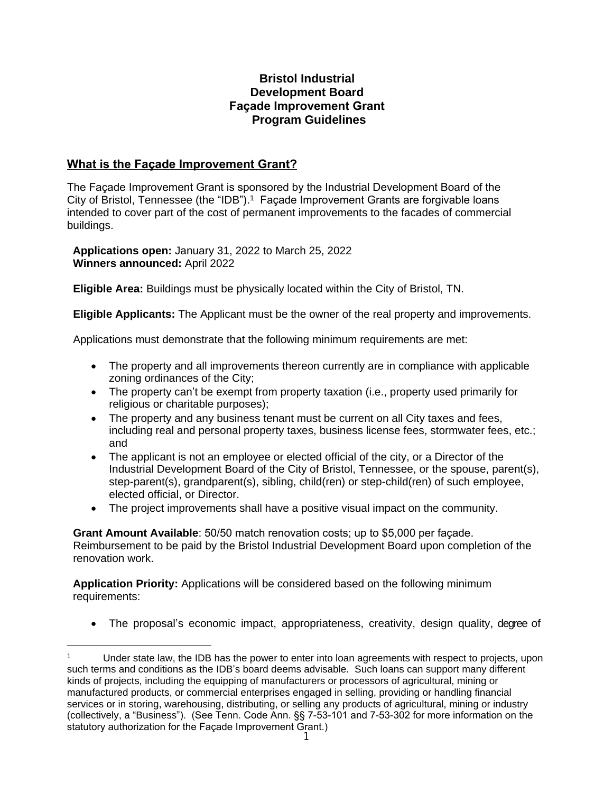# **Bristol Industrial Development Board Façade Improvement Grant Program Guidelines**

# **What is the Façade Improvement Grant?**

The Façade Improvement Grant is sponsored by the Industrial Development Board of the City of Bristol, Tennessee (the "IDB").<sup>1</sup> Façade Improvement Grants are forgivable loans intended to cover part of the cost of permanent improvements to the facades of commercial buildings.

**Applications open:** January 31, 2022 to March 25, 2022 **Winners announced:** April 2022

**Eligible Area:** Buildings must be physically located within the City of Bristol, TN.

**Eligible Applicants:** The Applicant must be the owner of the real property and improvements.

Applications must demonstrate that the following minimum requirements are met:

- The property and all improvements thereon currently are in compliance with applicable zoning ordinances of the City;
- The property can't be exempt from property taxation (i.e., property used primarily for religious or charitable purposes):
- The property and any business tenant must be current on all City taxes and fees, including real and personal property taxes, business license fees, stormwater fees, etc.; and
- The applicant is not an employee or elected official of the city, or a Director of the Industrial Development Board of the City of Bristol, Tennessee, or the spouse, parent(s), step-parent(s), grandparent(s), sibling, child(ren) or step-child(ren) of such employee, elected official, or Director.
- The project improvements shall have a positive visual impact on the community.

**Grant Amount Available**: 50/50 match renovation costs; up to \$5,000 per façade. Reimbursement to be paid by the Bristol Industrial Development Board upon completion of the renovation work.

**Application Priority:** Applications will be considered based on the following minimum requirements:

The proposal's economic impact, appropriateness, creativity, design quality, degree of

<sup>1</sup> Under state law, the IDB has the power to enter into loan agreements with respect to projects, upon such terms and conditions as the IDB's board deems advisable. Such loans can support many different kinds of projects, including the equipping of manufacturers or processors of agricultural, mining or manufactured products, or commercial enterprises engaged in selling, providing or handling financial services or in storing, warehousing, distributing, or selling any products of agricultural, mining or industry (collectively, a "Business"). (See Tenn. Code Ann. §§ 7-53-101 and 7-53-302 for more information on the statutory authorization for the Façade Improvement Grant.)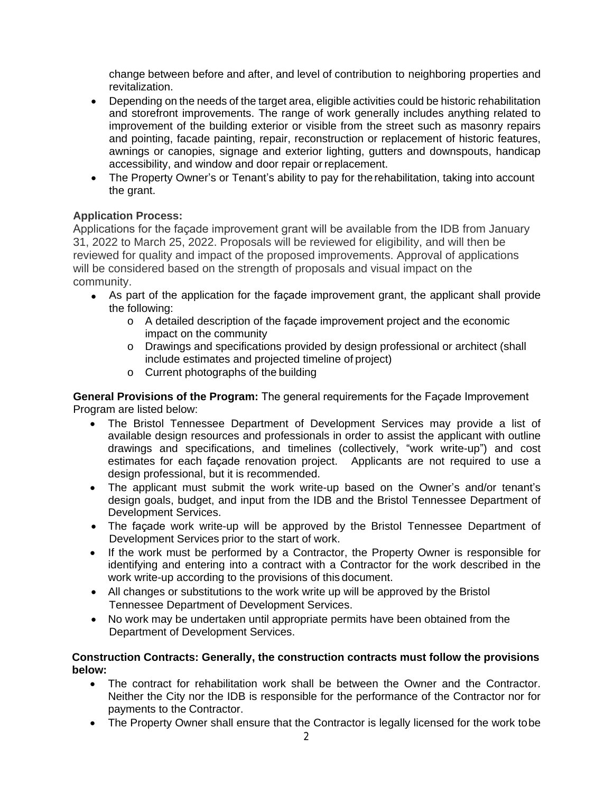change between before and after, and level of contribution to neighboring properties and revitalization.

- Depending on the needs of the target area, eligible activities could be historic rehabilitation and storefront improvements. The range of work generally includes anything related to improvement of the building exterior or visible from the street such as masonry repairs and pointing, facade painting, repair, reconstruction or replacement of historic features, awnings or canopies, signage and exterior lighting, gutters and downspouts, handicap accessibility, and window and door repair orreplacement.
- The Property Owner's or Tenant's ability to pay for the rehabilitation, taking into account the grant.

## **Application Process:**

Applications for the façade improvement grant will be available from the IDB from January 31, 2022 to March 25, 2022. Proposals will be reviewed for eligibility, and will then be reviewed for quality and impact of the proposed improvements. Approval of applications will be considered based on the strength of proposals and visual impact on the community.

- As part of the application for the façade improvement grant, the applicant shall provide the following:
	- o A detailed description of the façade improvement project and the economic impact on the community
	- o Drawings and specifications provided by design professional or architect (shall include estimates and projected timeline of project)
	- o Current photographs of the building

**General Provisions of the Program:** The general requirements for the Façade Improvement Program are listed below:

- The Bristol Tennessee Department of Development Services may provide a list of available design resources and professionals in order to assist the applicant with outline drawings and specifications, and timelines (collectively, "work write-up") and cost estimates for each façade renovation project. Applicants are not required to use a design professional, but it is recommended.
- The applicant must submit the work write-up based on the Owner's and/or tenant's design goals, budget, and input from the IDB and the Bristol Tennessee Department of Development Services.
- The façade work write-up will be approved by the Bristol Tennessee Department of Development Services prior to the start of work.
- If the work must be performed by a Contractor, the Property Owner is responsible for identifying and entering into a contract with a Contractor for the work described in the work write-up according to the provisions of this document.
- All changes or substitutions to the work write up will be approved by the Bristol Tennessee Department of Development Services.
- No work may be undertaken until appropriate permits have been obtained from the Department of Development Services.

#### **Construction Contracts: Generally, the construction contracts must follow the provisions below:**

- The contract for rehabilitation work shall be between the Owner and the Contractor. Neither the City nor the IDB is responsible for the performance of the Contractor nor for payments to the Contractor.
- The Property Owner shall ensure that the Contractor is legally licensed for the work tobe